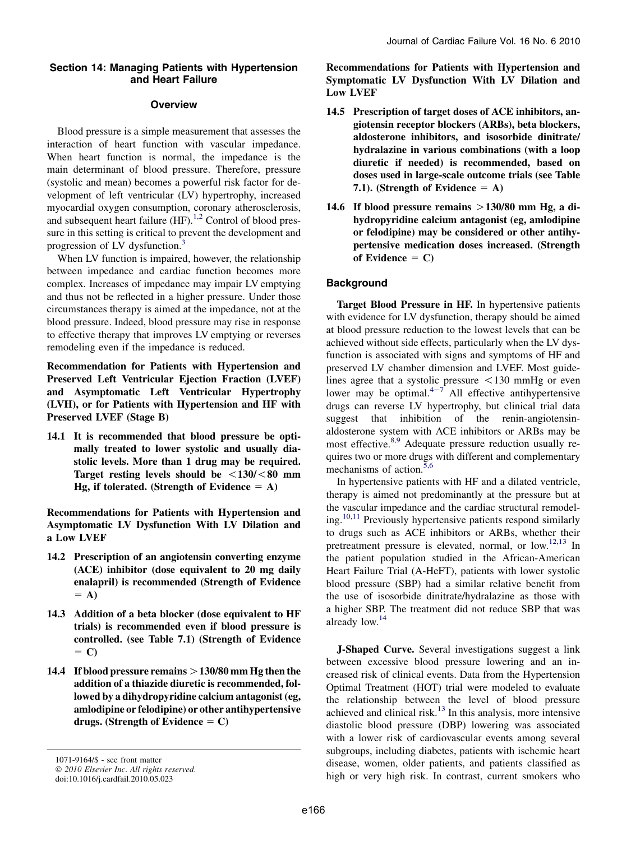### Section 14: Managing Patients with Hypertension and Heart Failure

# **Overview**

Blood pressure is a simple measurement that assesses the interaction of heart function with vascular impedance. When heart function is normal, the impedance is the main determinant of blood pressure. Therefore, pressure (systolic and mean) becomes a powerful risk factor for development of left ventricular (LV) hypertrophy, increased myocardial oxygen consumption, coronary atherosclerosis, and subsequent heart failure  $(HF)$ .<sup>[1,2](#page-1-0)</sup> Control of blood pressure in this setting is critical to prevent the development and progression of LV dysfunction.<sup>[3](#page-1-0)</sup>

When LV function is impaired, however, the relationship between impedance and cardiac function becomes more complex. Increases of impedance may impair LV emptying and thus not be reflected in a higher pressure. Under those circumstances therapy is aimed at the impedance, not at the blood pressure. Indeed, blood pressure may rise in response to effective therapy that improves LV emptying or reverses remodeling even if the impedance is reduced.

Recommendation for Patients with Hypertension and Preserved Left Ventricular Ejection Fraction (LVEF) and Asymptomatic Left Ventricular Hypertrophy (LVH), or for Patients with Hypertension and HF with Preserved LVEF (Stage B)

14.1 It is recommended that blood pressure be optimally treated to lower systolic and usually diastolic levels. More than 1 drug may be required. Target resting levels should be  $\langle 130 / \langle 80 \rangle$  mm Hg, if tolerated. (Strength of Evidence  $= A$ )

Recommendations for Patients with Hypertension and Asymptomatic LV Dysfunction With LV Dilation and a Low LVEF

- 14.2 Prescription of an angiotensin converting enzyme (ACE) inhibitor (dose equivalent to 20 mg daily enalapril) is recommended (Strength of Evidence  $= A$
- 14.3 Addition of a beta blocker (dose equivalent to HF trials) is recommended even if blood pressure is controlled. (see Table 7.1) (Strength of Evidence  $= C$
- 14.4 If blood pressure remains  $>$  130/80 mm Hg then the addition of a thiazide diuretic is recommended, followed by a dihydropyridine calcium antagonist (eg, amlodipine or felodipine) or other antihypertensive drugs. (Strength of Evidence  $= C$ )

1071-9164/\$ - see front matter © 2010 Elsevier Inc. All rights reserved.

doi:10.1016/j.cardfail.2010.05.023

Recommendations for Patients with Hypertension and Symptomatic LV Dysfunction With LV Dilation and Low LVEF

- 14.5 Prescription of target doses of ACE inhibitors, angiotensin receptor blockers (ARBs), beta blockers, aldosterone inhibitors, and isosorbide dinitrate/ hydralazine in various combinations (with a loop diuretic if needed) is recommended, based on doses used in large-scale outcome trials (see Table 7.1). (Strength of Evidence  $= A$ )
- 14.6 If blood pressure remains  $>130/80$  mm Hg, a dihydropyridine calcium antagonist (eg, amlodipine or felodipine) may be considered or other antihypertensive medication doses increased. (Strength of Evidence  $= C$ )

## **Background**

Target Blood Pressure in HF. In hypertensive patients with evidence for LV dysfunction, therapy should be aimed at blood pressure reduction to the lowest levels that can be achieved without side effects, particularly when the LV dysfunction is associated with signs and symptoms of HF and preserved LV chamber dimension and LVEF. Most guidelines agree that a systolic pressure  $\langle 130 \text{ mmHg} \rangle$  or even low[e](#page-1-0)r may be optimal. $4-\frac{7}{4}$  All effective antihypertensive drugs can reverse LV hypertrophy, but clinical trial data suggest that inhibition of the renin-angiotensinaldosterone system with ACE inhibitors or ARBs may be most effective.<sup>[8,9](#page-1-0)</sup> Adequate pressure reduction usually requires two or more drugs with different and complementary mechanisms of action.<sup>[5,6](#page-1-0)</sup>

In hypertensive patients with HF and a dilated ventricle, therapy is aimed not predominantly at the pressure but at the vascular impedance and the cardiac structural remodel-ing.<sup>[10,11](#page-1-0)</sup> Previously hypertensive patients respond similarly to drugs such as ACE inhibitors or ARBs, whether their pretreatment pressure is elevated, normal, or  $low.^{12,13}$  $low.^{12,13}$  $low.^{12,13}$  In the patient population studied in the African-American Heart Failure Trial (A-HeFT), patients with lower systolic blood pressure (SBP) had a similar relative benefit from the use of isosorbide dinitrate/hydralazine as those with a higher SBP. The treatment did not reduce SBP that was already low.[14](#page-1-0)

J-Shaped Curve. Several investigations suggest a link between excessive blood pressure lowering and an increased risk of clinical events. Data from the Hypertension Optimal Treatment (HOT) trial were modeled to evaluate the relationship between the level of blood pressure achieved and clinical risk.<sup>[13](#page-1-0)</sup> In this analysis, more intensive diastolic blood pressure (DBP) lowering was associated with a lower risk of cardiovascular events among several subgroups, including diabetes, patients with ischemic heart disease, women, older patients, and patients classified as high or very high risk. In contrast, current smokers who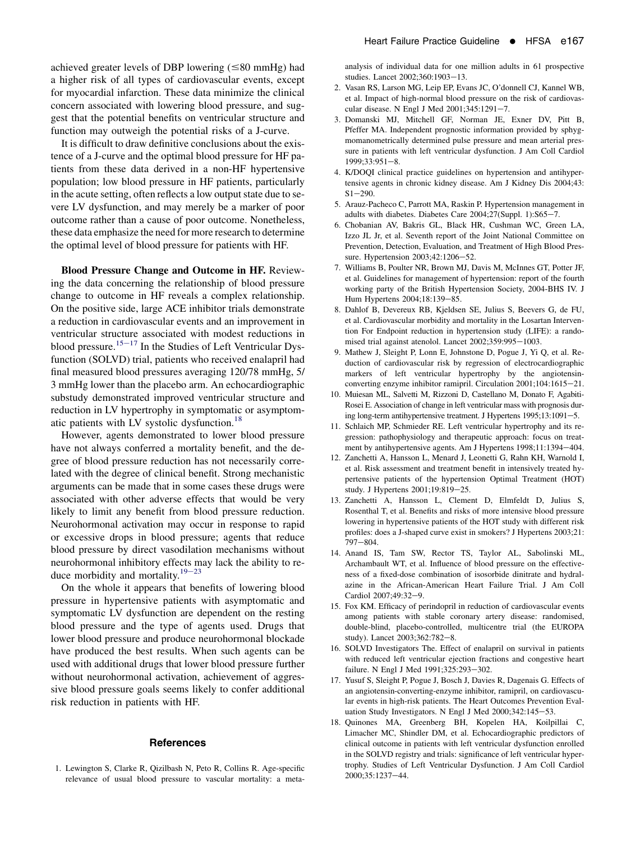<span id="page-1-0"></span>achieved greater levels of DBP lowering  $(\leq 80 \text{ mmHg})$  had a higher risk of all types of cardiovascular events, except for myocardial infarction. These data minimize the clinical concern associated with lowering blood pressure, and suggest that the potential benefits on ventricular structure and function may outweigh the potential risks of a J-curve.

It is difficult to draw definitive conclusions about the existence of a J-curve and the optimal blood pressure for HF patients from these data derived in a non-HF hypertensive population; low blood pressure in HF patients, particularly in the acute setting, often reflects a low output state due to severe LV dysfunction, and may merely be a marker of poor outcome rather than a cause of poor outcome. Nonetheless, these data emphasize the need for more research to determine the optimal level of blood pressure for patients with HF.

Blood Pressure Change and Outcome in HF. Reviewing the data concerning the relationship of blood pressure change to outcome in HF reveals a complex relationship. On the positive side, large ACE inhibitor trials demonstrate a reduction in cardiovascular events and an improvement in ventricular structure associated with modest reductions in blood pressure.<sup>15–17</sup> In the Studies of Left Ventricular Dysfunction (SOLVD) trial, patients who received enalapril had final measured blood pressures averaging 120/78 mmHg, 5/ 3 mmHg lower than the placebo arm. An echocardiographic substudy demonstrated improved ventricular structure and reduction in LV hypertrophy in symptomatic or asymptomatic patients with LV systolic dysfunction.<sup>18</sup>

However, agents demonstrated to lower blood pressure have not always conferred a mortality benefit, and the degree of blood pressure reduction has not necessarily correlated with the degree of clinical benefit. Strong mechanistic arguments can be made that in some cases these drugs were associated with other adverse effects that would be very likely to limit any benefit from blood pressure reduction. Neurohormonal activation may occur in response to rapid or excessive drops in blood pressure; agents that reduce blood pressure by direct vasodilation mechanisms without neurohormonal inhibitory effects may lack the ability to re-duce morbidity and mortality.<sup>[19](#page-2-0)–23</sup>

On the whole it appears that benefits of lowering blood pressure in hypertensive patients with asymptomatic and symptomatic LV dysfunction are dependent on the resting blood pressure and the type of agents used. Drugs that lower blood pressure and produce neurohormonal blockade have produced the best results. When such agents can be used with additional drugs that lower blood pressure further without neurohormonal activation, achievement of aggressive blood pressure goals seems likely to confer additional risk reduction in patients with HF.

### **References**

1. Lewington S, Clarke R, Qizilbash N, Peto R, Collins R. Age-specific relevance of usual blood pressure to vascular mortality: a metaanalysis of individual data for one million adults in 61 prospective studies. Lancet 2002;360:1903-13.

- 2. Vasan RS, Larson MG, Leip EP, Evans JC, O'donnell CJ, Kannel WB, et al. Impact of high-normal blood pressure on the risk of cardiovascular disease. N Engl J Med 2001;345:1291-7.
- 3. Domanski MJ, Mitchell GF, Norman JE, Exner DV, Pitt B, Pfeffer MA. Independent prognostic information provided by sphygmomanometrically determined pulse pressure and mean arterial pressure in patients with left ventricular dysfunction. J Am Coll Cardiol 1999;33:951-8.
- 4. K/DOQI clinical practice guidelines on hypertension and antihypertensive agents in chronic kidney disease. Am J Kidney Dis 2004;43:  $S1 - 290$ .
- 5. Arauz-Pacheco C, Parrott MA, Raskin P. Hypertension management in adults with diabetes. Diabetes Care 2004;27(Suppl. 1):S65-7.
- 6. Chobanian AV, Bakris GL, Black HR, Cushman WC, Green LA, Izzo JL Jr, et al. Seventh report of the Joint National Committee on Prevention, Detection, Evaluation, and Treatment of High Blood Pressure. Hypertension 2003;42:1206-52.
- 7. Williams B, Poulter NR, Brown MJ, Davis M, McInnes GT, Potter JF, et al. Guidelines for management of hypertension: report of the fourth working party of the British Hypertension Society, 2004-BHS IV. J Hum Hypertens 2004;18:139-85.
- 8. Dahlof B, Devereux RB, Kjeldsen SE, Julius S, Beevers G, de FU, et al. Cardiovascular morbidity and mortality in the Losartan Intervention For Endpoint reduction in hypertension study (LIFE): a randomised trial against atenolol. Lancet 2002;359:995-1003.
- 9. Mathew J, Sleight P, Lonn E, Johnstone D, Pogue J, Yi Q, et al. Reduction of cardiovascular risk by regression of electrocardiographic markers of left ventricular hypertrophy by the angiotensinconverting enzyme inhibitor ramipril. Circulation 2001;104:1615-21.
- 10. Muiesan ML, Salvetti M, Rizzoni D, Castellano M, Donato F, Agabiti-Rosei E. Association of change in left ventricular mass with prognosis during long-term antihypertensive treatment. J Hypertens 1995;13:1091-5.
- 11. Schlaich MP, Schmieder RE. Left ventricular hypertrophy and its regression: pathophysiology and therapeutic approach: focus on treatment by antihypertensive agents. Am J Hypertens 1998;11:1394-404.
- 12. Zanchetti A, Hansson L, Menard J, Leonetti G, Rahn KH, Warnold I, et al. Risk assessment and treatment benefit in intensively treated hypertensive patients of the hypertension Optimal Treatment (HOT) study. J Hypertens 2001;19:819-25.
- 13. Zanchetti A, Hansson L, Clement D, Elmfeldt D, Julius S, Rosenthal T, et al. Benefits and risks of more intensive blood pressure lowering in hypertensive patients of the HOT study with different risk profiles: does a J-shaped curve exist in smokers? J Hypertens 2003;21:  $797 - 804.$
- 14. Anand IS, Tam SW, Rector TS, Taylor AL, Sabolinski ML, Archambault WT, et al. Influence of blood pressure on the effectiveness of a fixed-dose combination of isosorbide dinitrate and hydralazine in the African-American Heart Failure Trial. J Am Coll Cardiol 2007:49:32-9.
- 15. Fox KM. Efficacy of perindopril in reduction of cardiovascular events among patients with stable coronary artery disease: randomised, double-blind, placebo-controlled, multicentre trial (the EUROPA study). Lancet 2003;362:782-8.
- 16. SOLVD Investigators The. Effect of enalapril on survival in patients with reduced left ventricular ejection fractions and congestive heart failure. N Engl J Med 1991;325:293-302.
- 17. Yusuf S, Sleight P, Pogue J, Bosch J, Davies R, Dagenais G. Effects of an angiotensin-converting-enzyme inhibitor, ramipril, on cardiovascular events in high-risk patients. The Heart Outcomes Prevention Evaluation Study Investigators. N Engl J Med 2000;342:145-53.
- 18. Quinones MA, Greenberg BH, Kopelen HA, Koilpillai C, Limacher MC, Shindler DM, et al. Echocardiographic predictors of clinical outcome in patients with left ventricular dysfunction enrolled in the SOLVD registry and trials: significance of left ventricular hypertrophy. Studies of Left Ventricular Dysfunction. J Am Coll Cardiol 2000;35:1237-44.